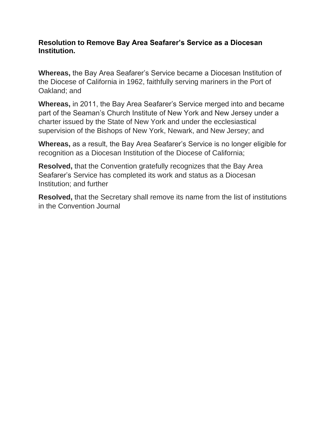## **Resolution to Remove Bay Area Seafarer's Service as a Diocesan Institution.**

**Whereas,** the Bay Area Seafarer's Service became a Diocesan Institution of the Diocese of California in 1962, faithfully serving mariners in the Port of Oakland; and

**Whereas,** in 2011, the Bay Area Seafarer's Service merged into and became part of the Seaman's Church Institute of New York and New Jersey under a charter issued by the State of New York and under the ecclesiastical supervision of the Bishops of New York, Newark, and New Jersey; and

**Whereas,** as a result, the Bay Area Seafarer's Service is no longer eligible for recognition as a Diocesan Institution of the Diocese of California;

**Resolved,** that the Convention gratefully recognizes that the Bay Area Seafarer's Service has completed its work and status as a Diocesan Institution; and further

**Resolved,** that the Secretary shall remove its name from the list of institutions in the Convention Journal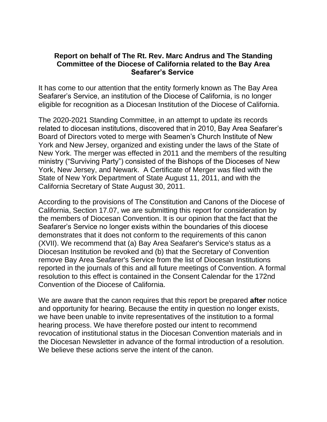## **Report on behalf of The Rt. Rev. Marc Andrus and The Standing Committee of the Diocese of California related to the Bay Area Seafarer's Service**

It has come to our attention that the entity formerly known as The Bay Area Seafarer's Service, an institution of the Diocese of California, is no longer eligible for recognition as a Diocesan Institution of the Diocese of California.

The 2020-2021 Standing Committee, in an attempt to update its records related to diocesan institutions, discovered that in 2010, Bay Area Seafarer's Board of Directors voted to merge with Seamen's Church Institute of New York and New Jersey, organized and existing under the laws of the State of New York. The merger was effected in 2011 and the members of the resulting ministry ("Surviving Party") consisted of the Bishops of the Dioceses of New York, New Jersey, and Newark. A Certificate of Merger was filed with the State of New York Department of State August 11, 2011, and with the California Secretary of State August 30, 2011.

According to the provisions of The Constitution and Canons of the Diocese of California, Section 17.07, we are submitting this report for consideration by the members of Diocesan Convention. It is our opinion that the fact that the Seafarer's Service no longer exists within the boundaries of this diocese demonstrates that it does not conform to the requirements of this canon (XVII). We recommend that (a) Bay Area Seafarer's Service's status as a Diocesan Institution be revoked and (b) that the Secretary of Convention remove Bay Area Seafarer's Service from the list of Diocesan Institutions reported in the journals of this and all future meetings of Convention. A formal resolution to this effect is contained in the Consent Calendar for the 172nd Convention of the Diocese of California.

We are aware that the canon requires that this report be prepared **after** notice and opportunity for hearing. Because the entity in question no longer exists, we have been unable to invite representatives of the institution to a formal hearing process. We have therefore posted our intent to recommend revocation of institutional status in the Diocesan Convention materials and in the Diocesan Newsletter in advance of the formal introduction of a resolution. We believe these actions serve the intent of the canon.